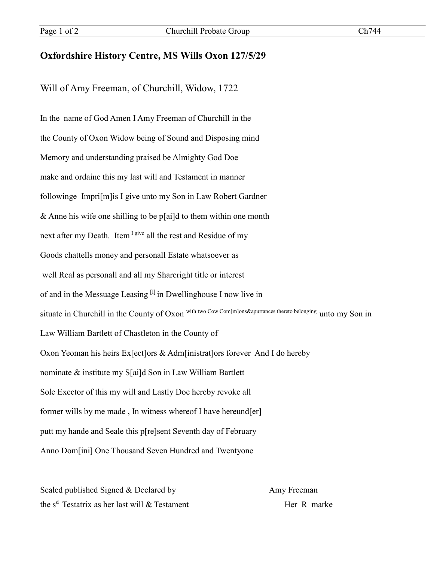## **Oxfordshire History Centre, MS Wills Oxon 127/5/29**

Will of Amy Freeman, of Churchill, Widow, 1722

In the name of God Amen I Amy Freeman of Churchill in the the County of Oxon Widow being of Sound and Disposing mind Memory and understanding praised be Almighty God Doe make and ordaine this my last will and Testament in manner followinge Impri[m]is I give unto my Son in Law Robert Gardner & Anne his wife one shilling to be p[ai]d to them within one month next after my Death. Item  $I^{\text{give}}$  all the rest and Residue of my Goods chattells money and personall Estate whatsoever as well Real as personall and all my Shareright title or interest of and in the Messuage Leasing [1] in Dwellinghouse I now live in situate in Churchill in the County of Oxon with two Cow Com[m]ons&apurtances thereto belonging unto my Son in Law William Bartlett of Chastleton in the County of Oxon Yeoman his heirs Ex[ect]ors & Adm[inistrat]ors forever And I do hereby nominate & institute my S[ai]d Son in Law William Bartlett Sole Exector of this my will and Lastly Doe hereby revoke all former wills by me made , In witness whereof I have hereund[er] putt my hande and Seale this p[re]sent Seventh day of February Anno Dom[ini] One Thousand Seven Hundred and Twentyone

Sealed published Signed & Declared by Amy Freeman the  $s^d$  Testatrix as her last will & Testament Her R marke